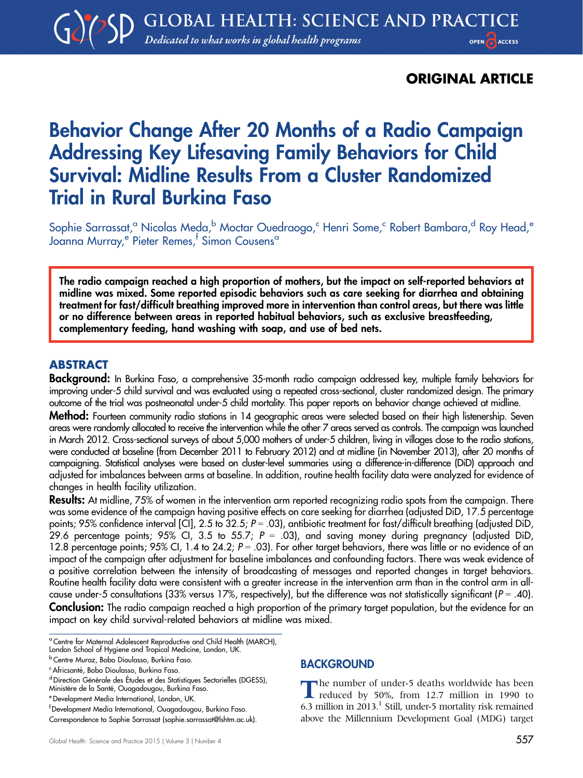## ORIGINAL ARTICLE

# Behavior Change After 20 Months of a Radio Campaign Addressing Key Lifesaving Family Behaviors for Child Survival: Midline Results From a Cluster Randomized Trial in Rural Burkina Faso

Sophie Sarrassat,<sup>a</sup> Nicolas Meda,<sup>b</sup> Moctar Ouedraogo,<sup>c</sup> Henri Some,<sup>c</sup> Robert Bambara,<sup>d</sup> Roy Head,<sup>e</sup> Joanna Murray, <sup>e'</sup> Pieter Remes,<sup>f</sup> Simon Cousens<sup>a</sup>

The radio campaign reached a high proportion of mothers, but the impact on self-reported behaviors at midline was mixed. Some reported episodic behaviors such as care seeking for diarrhea and obtaining treatment for fast/difficult breathing improved more in intervention than control areas, but there was little or no difference between areas in reported habitual behaviors, such as exclusive breastfeeding, complementary feeding, hand washing with soap, and use of bed nets.

## ABSTRACT

Background: In Burkina Faso, a comprehensive 35-month radio campaign addressed key, multiple family behaviors for improving under-5 child survival and was evaluated using a repeated cross-sectional, cluster randomized design. The primary outcome of the trial was postneonatal under-5 child mortality. This paper reports on behavior change achieved at midline.

Method: Fourteen community radio stations in 14 geographic areas were selected based on their high listenership. Seven areas were randomly allocated to receive the intervention while the other 7 areas served as controls. The campaign was launched in March 2012. Cross-sectional surveys of about 5,000 mothers of under-5 children, living in villages close to the radio stations, were conducted at baseline (from December 2011 to February 2012) and at midline (in November 2013), after 20 months of campaigning. Statistical analyses were based on cluster-level summaries using a difference-in-difference (DiD) approach and adjusted for imbalances between arms at baseline. In addition, routine health facility data were analyzed for evidence of changes in health facility utilization.

**Results:** At midline, 75% of women in the intervention arm reported recognizing radio spots from the campaign. There was some evidence of the campaign having positive effects on care seeking for diarrhea (adjusted DiD, 17.5 percentage points; 95% confidence interval [CI], 2.5 to 32.5; P = .03), antibiotic treatment for fast/difficult breathing (adjusted DiD, 29.6 percentage points; 95% CI, 3.5 to 55.7;  $P = .03$ ), and saving money during pregnancy (adjusted DiD, 12.8 percentage points; 95% CI, 1.4 to 24.2;  $P = .03$ ). For other target behaviors, there was little or no evidence of an impact of the campaign after adjustment for baseline imbalances and confounding factors. There was weak evidence of a positive correlation between the intensity of broadcasting of messages and reported changes in target behaviors. Routine health facility data were consistent with a greater increase in the intervention arm than in the control arm in allcause under-5 consultations (33% versus 17%, respectively), but the difference was not statistically significant ( $P = .40$ ). Conclusion: The radio campaign reached a high proportion of the primary target population, but the evidence for an impact on key child survival-related behaviors at midline was mixed.

## **BACKGROUND**

The number of under-5 deaths worldwide has been reduced by 50%, from 12.7 million in 1990 to 6.3 million in 2013.<sup>1</sup> Still, under-5 mortality risk remained above the Millennium Development Goal (MDG) target

<sup>&</sup>lt;sup>a</sup> Centre for Maternal Adolescent Reproductive and Child Health (MARCH),

London School of Hygiene and Tropical Medicine, London, UK.

<sup>&</sup>lt;sup>b</sup> Centre Muraz, Bobo Dioulasso, Burkina Faso.

<sup>&</sup>lt;sup>c</sup> Africsanté, Bobo Dioulasso, Burkina Faso.

d Direction Générale des Études et des Statistiques Sectorielles (DGESS), Ministère de la Santé, Ouagadougou, Burkina Faso.

e Development Media International, London, UK.

f Development Media International, Ouagadougou, Burkina Faso.

Correspondence to Sophie Sarrassat [\(sophie.sarrassat@lshtm.ac.uk\)](mailto:sophie.sarrassat@lshtm.ac.uk).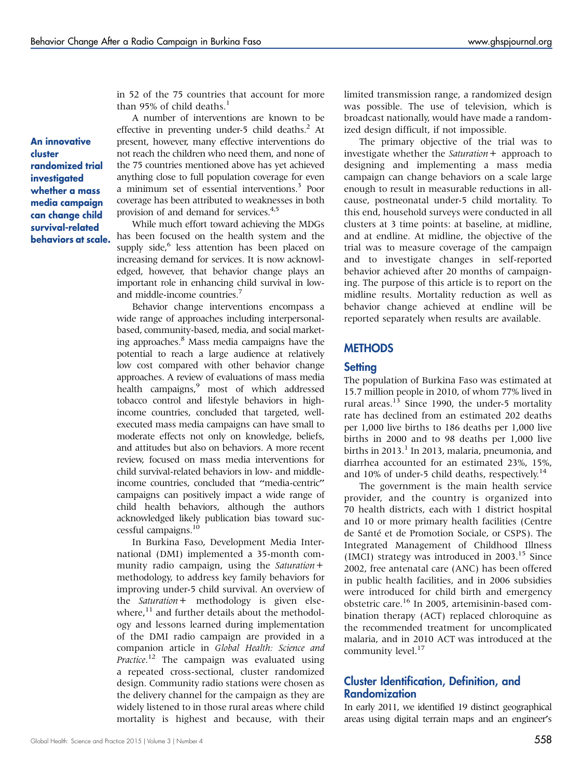in 52 of the 75 countries that account for more than 95% of child deaths. $1$ 

An innovative cluster randomized trial investigated whether a mass media campaign can change child survival-related behaviors at scale.

A number of interventions are known to be effective in preventing under-5 child deaths.<sup>2</sup> At present, however, many effective interventions do not reach the children who need them, and none of the 75 countries mentioned above has yet achieved anything close to full population coverage for even a minimum set of essential interventions.<sup>3</sup> Poor coverage has been attributed to weaknesses in both provision of and demand for services.<sup>4,5</sup>

While much effort toward achieving the MDGs has been focused on the health system and the supply side,<sup>6</sup> less attention has been placed on increasing demand for services. It is now acknowledged, however, that behavior change plays an important role in enhancing child survival in lowand middle-income countries.<sup>7</sup>

Behavior change interventions encompass a wide range of approaches including interpersonalbased, community-based, media, and social marketing approaches. $8\overline{8}$  Mass media campaigns have the potential to reach a large audience at relatively low cost compared with other behavior change approaches. A review of evaluations of mass media health campaigns,<sup>9</sup> most of which addressed tobacco control and lifestyle behaviors in highincome countries, concluded that targeted, wellexecuted mass media campaigns can have small to moderate effects not only on knowledge, beliefs, and attitudes but also on behaviors. A more recent review, focused on mass media interventions for child survival-related behaviors in low- and middleincome countries, concluded that ''media-centric'' campaigns can positively impact a wide range of child health behaviors, although the authors acknowledged likely publication bias toward successful campaigns.<sup>10</sup>

In Burkina Faso, Development Media International (DMI) implemented a 35-month community radio campaign, using the Saturation + methodology, to address key family behaviors for improving under-5 child survival. An overview of the *Saturation* + methodology is given elsewhere, $^{11}$  and further details about the methodology and lessons learned during implementation of the DMI radio campaign are provided in a companion article in Global Health: Science and Practice.<sup>12</sup> The campaign was evaluated using a repeated cross-sectional, cluster randomized design. Community radio stations were chosen as the delivery channel for the campaign as they are widely listened to in those rural areas where child mortality is highest and because, with their limited transmission range, a randomized design was possible. The use of television, which is broadcast nationally, would have made a randomized design difficult, if not impossible.

The primary objective of the trial was to investigate whether the *Saturation*  $+$  approach to designing and implementing a mass media campaign can change behaviors on a scale large enough to result in measurable reductions in allcause, postneonatal under-5 child mortality. To this end, household surveys were conducted in all clusters at 3 time points: at baseline, at midline, and at endline. At midline, the objective of the trial was to measure coverage of the campaign and to investigate changes in self-reported behavior achieved after 20 months of campaigning. The purpose of this article is to report on the midline results. Mortality reduction as well as behavior change achieved at endline will be reported separately when results are available.

## **METHODS**

#### **Setting**

The population of Burkina Faso was estimated at 15.7 million people in 2010, of whom 77% lived in rural areas. $13 \text{ Since } 1990$ , the under-5 mortality rate has declined from an estimated 202 deaths per 1,000 live births to 186 deaths per 1,000 live births in 2000 and to 98 deaths per 1,000 live births in 2013. $<sup>1</sup>$  In 2013, malaria, pneumonia, and</sup> diarrhea accounted for an estimated 23%, 15%, and 10% of under-5 child deaths, respectively.<sup>14</sup>

The government is the main health service provider, and the country is organized into 70 health districts, each with 1 district hospital and 10 or more primary health facilities (Centre de Santé et de Promotion Sociale, or CSPS). The Integrated Management of Childhood Illness (IMCI) strategy was introduced in  $2003$ <sup>15</sup> Since 2002, free antenatal care (ANC) has been offered in public health facilities, and in 2006 subsidies were introduced for child birth and emergency obstetric care.<sup>16</sup> In 2005, artemisinin-based combination therapy (ACT) replaced chloroquine as the recommended treatment for uncomplicated malaria, and in 2010 ACT was introduced at the community level.<sup>17</sup>

## Cluster Identification, Definition, and Randomization

In early 2011, we identified 19 distinct geographical areas using digital terrain maps and an engineer's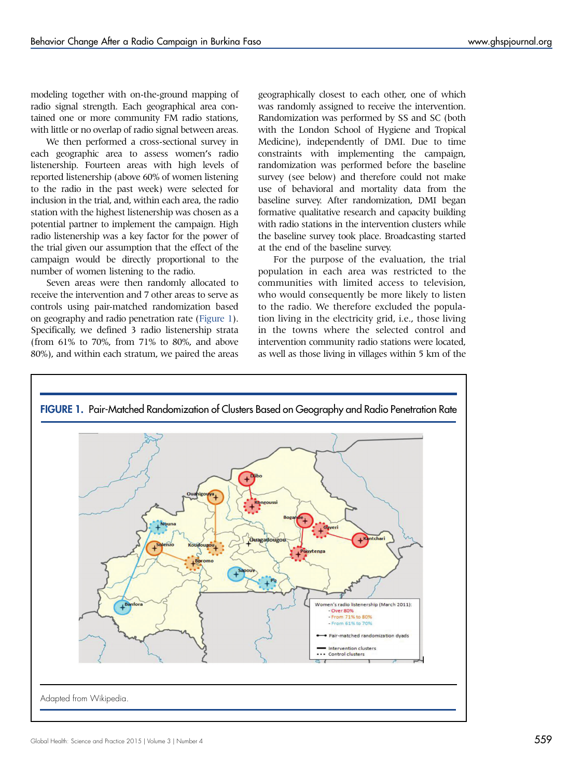<span id="page-2-0"></span>modeling together with on-the-ground mapping of radio signal strength. Each geographical area contained one or more community FM radio stations, with little or no overlap of radio signal between areas.

We then performed a cross-sectional survey in each geographic area to assess women's radio listenership. Fourteen areas with high levels of reported listenership (above 60% of women listening to the radio in the past week) were selected for inclusion in the trial, and, within each area, the radio station with the highest listenership was chosen as a potential partner to implement the campaign. High radio listenership was a key factor for the power of the trial given our assumption that the effect of the campaign would be directly proportional to the number of women listening to the radio.

Seven areas were then randomly allocated to receive the intervention and 7 other areas to serve as controls using pair-matched randomization based on geography and radio penetration rate (Figure 1). Specifically, we defined 3 radio listenership strata (from 61% to 70%, from 71% to 80%, and above 80%), and within each stratum, we paired the areas

geographically closest to each other, one of which was randomly assigned to receive the intervention. Randomization was performed by SS and SC (both with the London School of Hygiene and Tropical Medicine), independently of DMI. Due to time constraints with implementing the campaign, randomization was performed before the baseline survey (see below) and therefore could not make use of behavioral and mortality data from the baseline survey. After randomization, DMI began formative qualitative research and capacity building with radio stations in the intervention clusters while the baseline survey took place. Broadcasting started at the end of the baseline survey.

For the purpose of the evaluation, the trial population in each area was restricted to the communities with limited access to television, who would consequently be more likely to listen to the radio. We therefore excluded the population living in the electricity grid, i.e., those living in the towns where the selected control and intervention community radio stations were located, as well as those living in villages within 5 km of the

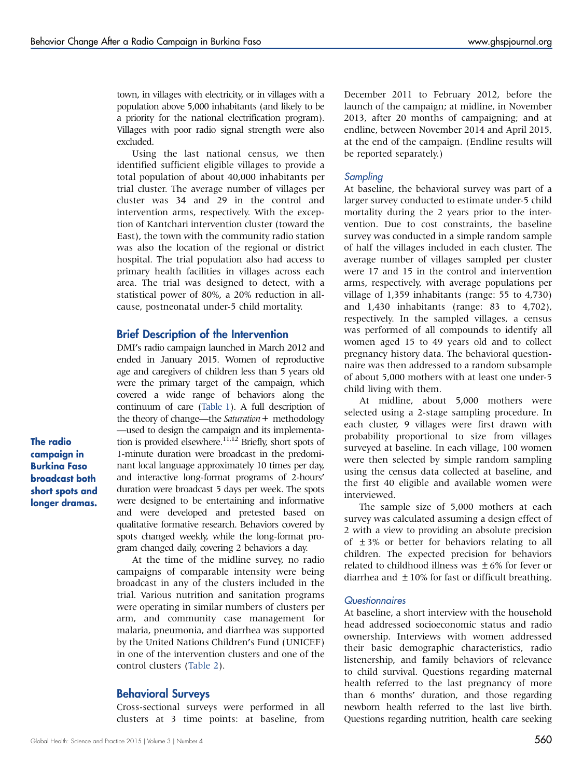town, in villages with electricity, or in villages with a population above 5,000 inhabitants (and likely to be a priority for the national electrification program). Villages with poor radio signal strength were also excluded.

Using the last national census, we then identified sufficient eligible villages to provide a total population of about 40,000 inhabitants per trial cluster. The average number of villages per cluster was 34 and 29 in the control and intervention arms, respectively. With the exception of Kantchari intervention cluster (toward the East), the town with the community radio station was also the location of the regional or district hospital. The trial population also had access to primary health facilities in villages across each area. The trial was designed to detect, with a statistical power of 80%, a 20% reduction in allcause, postneonatal under-5 child mortality.

## Brief Description of the Intervention

DMI's radio campaign launched in March 2012 and ended in January 2015. Women of reproductive age and caregivers of children less than 5 years old were the primary target of the campaign, which covered a wide range of behaviors along the continuum of care [\(Table 1\)](#page-4-0). A full description of the theory of change—the Saturation + methodology —used to design the campaign and its implementation is provided elsewhere.<sup>11,12</sup> Briefly, short spots of 1-minute duration were broadcast in the predominant local language approximately 10 times per day, and interactive long-format programs of 2-hours' duration were broadcast 5 days per week. The spots were designed to be entertaining and informative and were developed and pretested based on qualitative formative research. Behaviors covered by spots changed weekly, while the long-format program changed daily, covering 2 behaviors a day.

At the time of the midline survey, no radio campaigns of comparable intensity were being broadcast in any of the clusters included in the trial. Various nutrition and sanitation programs were operating in similar numbers of clusters per arm, and community case management for malaria, pneumonia, and diarrhea was supported by the United Nations Children's Fund (UNICEF) in one of the intervention clusters and one of the control clusters [\(Table 2\)](#page-5-0).

## Behavioral Surveys

Cross-sectional surveys were performed in all clusters at 3 time points: at baseline, from

December 2011 to February 2012, before the launch of the campaign; at midline, in November 2013, after 20 months of campaigning; and at endline, between November 2014 and April 2015, at the end of the campaign. (Endline results will be reported separately.)

#### **Sampling**

At baseline, the behavioral survey was part of a larger survey conducted to estimate under-5 child mortality during the 2 years prior to the intervention. Due to cost constraints, the baseline survey was conducted in a simple random sample of half the villages included in each cluster. The average number of villages sampled per cluster were 17 and 15 in the control and intervention arms, respectively, with average populations per village of 1,359 inhabitants (range: 55 to 4,730) and 1,430 inhabitants (range: 83 to 4,702), respectively. In the sampled villages, a census was performed of all compounds to identify all women aged 15 to 49 years old and to collect pregnancy history data. The behavioral questionnaire was then addressed to a random subsample of about 5,000 mothers with at least one under-5 child living with them.

At midline, about 5,000 mothers were selected using a 2-stage sampling procedure. In each cluster, 9 villages were first drawn with probability proportional to size from villages surveyed at baseline. In each village, 100 women were then selected by simple random sampling using the census data collected at baseline, and the first 40 eligible and available women were interviewed.

The sample size of 5,000 mothers at each survey was calculated assuming a design effect of 2 with a view to providing an absolute precision of  $\pm$ 3% or better for behaviors relating to all children. The expected precision for behaviors related to childhood illness was  $\pm 6\%$  for fever or diarrhea and  $\pm$  10% for fast or difficult breathing.

#### Questionnaires

At baseline, a short interview with the household head addressed socioeconomic status and radio ownership. Interviews with women addressed their basic demographic characteristics, radio listenership, and family behaviors of relevance to child survival. Questions regarding maternal health referred to the last pregnancy of more than 6 months' duration, and those regarding newborn health referred to the last live birth. Questions regarding nutrition, health care seeking

The radio campaign in Burkina Faso broadcast both short spots and longer dramas.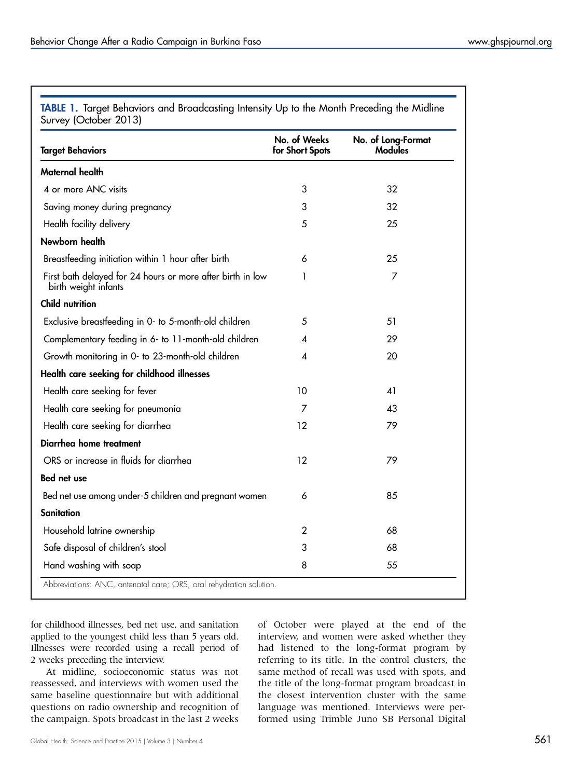| <b>Target Behaviors</b>                                                            | No. of Weeks<br>for Short Spots | No. of Long-Format<br>Modules |  |  |
|------------------------------------------------------------------------------------|---------------------------------|-------------------------------|--|--|
| <b>Maternal health</b>                                                             |                                 |                               |  |  |
| 4 or more ANC visits                                                               | 3                               | 32                            |  |  |
| Saving money during pregnancy                                                      | 3                               | 32                            |  |  |
| Health facility delivery                                                           | 5                               | 25                            |  |  |
| Newborn health                                                                     |                                 |                               |  |  |
| Breastfeeding initiation within 1 hour after birth                                 | 6                               | 25                            |  |  |
| First bath delayed for 24 hours or more after birth in low<br>birth weight infants | 1                               | $\overline{7}$                |  |  |
| <b>Child nutrition</b>                                                             |                                 |                               |  |  |
| Exclusive breastfeeding in 0- to 5-month-old children                              | 5                               | 51                            |  |  |
| Complementary feeding in 6- to 11-month-old children                               | 4                               | 29                            |  |  |
| Growth monitoring in 0- to 23-month-old children                                   | 4                               | 20                            |  |  |
| Health care seeking for childhood illnesses                                        |                                 |                               |  |  |
| Health care seeking for fever                                                      | 10                              | 41                            |  |  |
| Health care seeking for pneumonia                                                  | 7                               | 43                            |  |  |
| Health care seeking for diarrhea                                                   | 12                              | 79                            |  |  |
| Diarrhea home treatment                                                            |                                 |                               |  |  |
| ORS or increase in fluids for diarrhea                                             | 12                              | 79                            |  |  |
| <b>Bed net use</b>                                                                 |                                 |                               |  |  |
| Bed net use among under-5 children and pregnant women                              | 6                               | 85                            |  |  |
| <b>Sanitation</b>                                                                  |                                 |                               |  |  |
| Household latrine ownership                                                        | 2                               | 68                            |  |  |
| Safe disposal of children's stool                                                  | 3                               | 68                            |  |  |
| Hand washing with soap                                                             | 8                               | 55                            |  |  |

<span id="page-4-0"></span>TABLE 1. Target Behaviors and Broadcasting Intensity Up to the Month Preceding the Midline

for childhood illnesses, bed net use, and sanitation applied to the youngest child less than 5 years old. Illnesses were recorded using a recall period of 2 weeks preceding the interview.

At midline, socioeconomic status was not reassessed, and interviews with women used the same baseline questionnaire but with additional questions on radio ownership and recognition of the campaign. Spots broadcast in the last 2 weeks

of October were played at the end of the interview, and women were asked whether they had listened to the long-format program by referring to its title. In the control clusters, the same method of recall was used with spots, and the title of the long-format program broadcast in the closest intervention cluster with the same language was mentioned. Interviews were performed using Trimble Juno SB Personal Digital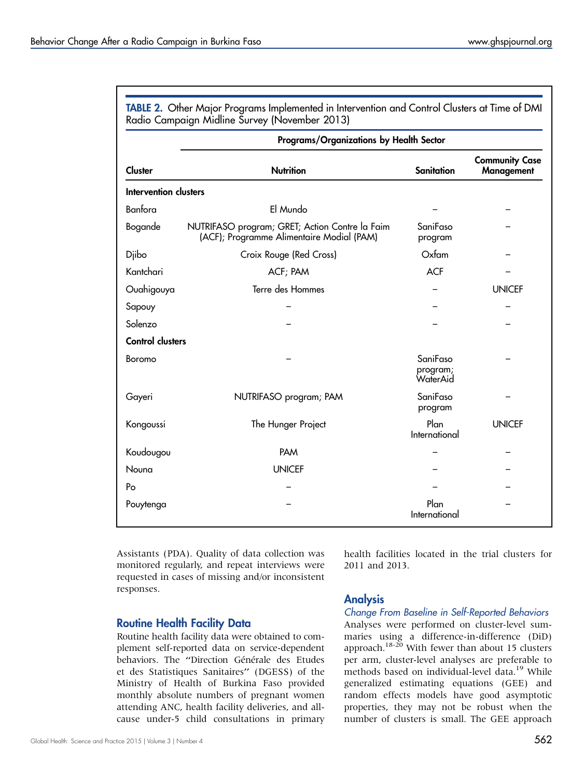<span id="page-5-0"></span>

|                              | Programs/Organizations by Health Sector                                                     |                                  |                                     |  |  |  |  |  |
|------------------------------|---------------------------------------------------------------------------------------------|----------------------------------|-------------------------------------|--|--|--|--|--|
| Cluster                      | <b>Nutrition</b>                                                                            | <b>Sanitation</b>                | <b>Community Case</b><br>Management |  |  |  |  |  |
| <b>Intervention clusters</b> |                                                                                             |                                  |                                     |  |  |  |  |  |
| Banfora                      | El Mundo                                                                                    |                                  |                                     |  |  |  |  |  |
| Bogande                      | NUTRIFASO program; GRET; Action Contre la Faim<br>(ACF); Programme Alimentaire Modial (PAM) | SaniFaso<br>program              |                                     |  |  |  |  |  |
| Djibo                        | Croix Rouge (Red Cross)                                                                     | Oxfam                            |                                     |  |  |  |  |  |
| Kantchari                    | ACF; PAM                                                                                    | <b>ACF</b>                       |                                     |  |  |  |  |  |
| Ouahigouya                   | Terre des Hommes                                                                            |                                  | <b>UNICEF</b>                       |  |  |  |  |  |
| Sapouy                       |                                                                                             |                                  |                                     |  |  |  |  |  |
| Solenzo                      |                                                                                             |                                  |                                     |  |  |  |  |  |
| <b>Control clusters</b>      |                                                                                             |                                  |                                     |  |  |  |  |  |
| Boromo                       |                                                                                             | SaniFaso<br>program;<br>WaterAid |                                     |  |  |  |  |  |
| Gayeri                       | NUTRIFASO program; PAM                                                                      | SaniFaso<br>program              |                                     |  |  |  |  |  |
| Kongoussi                    | The Hunger Project                                                                          | Plan<br>International            | <b>UNICEF</b>                       |  |  |  |  |  |
| Koudougou                    | PAM                                                                                         |                                  |                                     |  |  |  |  |  |
| Nouna                        | <b>UNICEF</b>                                                                               |                                  |                                     |  |  |  |  |  |
| Po                           |                                                                                             |                                  |                                     |  |  |  |  |  |
| Pouytenga                    |                                                                                             | Plan<br>International            |                                     |  |  |  |  |  |

Assistants (PDA). Quality of data collection was monitored regularly, and repeat interviews were requested in cases of missing and/or inconsistent responses.

## Routine Health Facility Data

Routine health facility data were obtained to complement self-reported data on service-dependent behaviors. The ''Direction Générale des Etudes et des Statistiques Sanitaires'' (DGESS) of the Ministry of Health of Burkina Faso provided monthly absolute numbers of pregnant women attending ANC, health facility deliveries, and allcause under-5 child consultations in primary health facilities located in the trial clusters for 2011 and 2013.

## Analysis

Change From Baseline in Self-Reported Behaviors Analyses were performed on cluster-level summaries using a difference-in-difference (DiD) approach.<sup>18-20</sup> With fewer than about 15 clusters per arm, cluster-level analyses are preferable to methods based on individual-level data.<sup>19</sup> While generalized estimating equations (GEE) and random effects models have good asymptotic properties, they may not be robust when the number of clusters is small. The GEE approach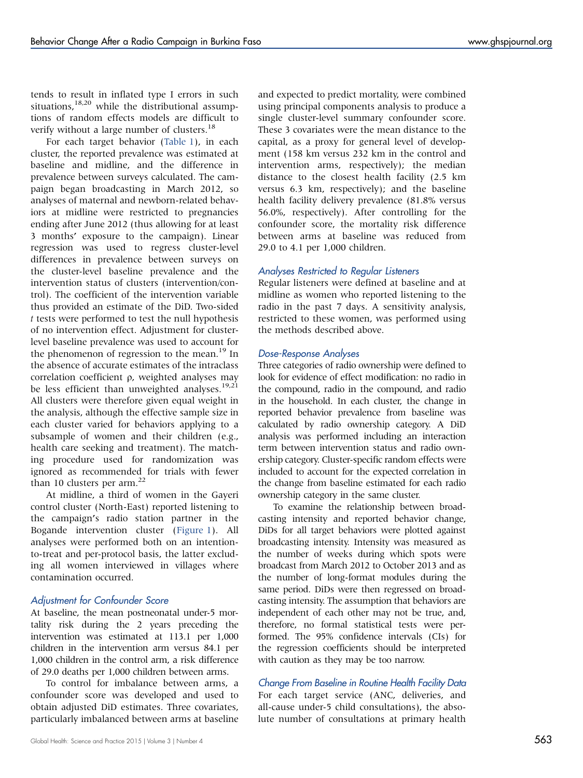tends to result in inflated type I errors in such situations,<sup>18,20</sup> while the distributional assumptions of random effects models are difficult to verify without a large number of clusters.<sup>18</sup>

For each target behavior ([Table 1\)](#page-4-0), in each cluster, the reported prevalence was estimated at baseline and midline, and the difference in prevalence between surveys calculated. The campaign began broadcasting in March 2012, so analyses of maternal and newborn-related behaviors at midline were restricted to pregnancies ending after June 2012 (thus allowing for at least 3 months' exposure to the campaign). Linear regression was used to regress cluster-level differences in prevalence between surveys on the cluster-level baseline prevalence and the intervention status of clusters (intervention/control). The coefficient of the intervention variable thus provided an estimate of the DiD. Two-sided t tests were performed to test the null hypothesis of no intervention effect. Adjustment for clusterlevel baseline prevalence was used to account for the phenomenon of regression to the mean.<sup>19</sup> In the absence of accurate estimates of the intraclass correlation coefficient  $\rho$ , weighted analyses may be less efficient than unweighted analyses.<sup>19,21</sup> All clusters were therefore given equal weight in the analysis, although the effective sample size in each cluster varied for behaviors applying to a subsample of women and their children (e.g., health care seeking and treatment). The matching procedure used for randomization was ignored as recommended for trials with fewer than 10 clusters per arm. $^{22}$ 

At midline, a third of women in the Gayeri control cluster (North-East) reported listening to the campaign's radio station partner in the Bogande intervention cluster ([Figure 1\)](#page-2-0). All analyses were performed both on an intentionto-treat and per-protocol basis, the latter excluding all women interviewed in villages where contamination occurred.

#### Adjustment for Confounder Score

At baseline, the mean postneonatal under-5 mortality risk during the 2 years preceding the intervention was estimated at 113.1 per 1,000 children in the intervention arm versus 84.1 per 1,000 children in the control arm, a risk difference of 29.0 deaths per 1,000 children between arms.

To control for imbalance between arms, a confounder score was developed and used to obtain adjusted DiD estimates. Three covariates, particularly imbalanced between arms at baseline

and expected to predict mortality, were combined using principal components analysis to produce a single cluster-level summary confounder score. These 3 covariates were the mean distance to the capital, as a proxy for general level of development (158 km versus 232 km in the control and intervention arms, respectively); the median distance to the closest health facility (2.5 km versus 6.3 km, respectively); and the baseline health facility delivery prevalence (81.8% versus 56.0%, respectively). After controlling for the confounder score, the mortality risk difference between arms at baseline was reduced from 29.0 to 4.1 per 1,000 children.

#### Analyses Restricted to Regular Listeners

Regular listeners were defined at baseline and at midline as women who reported listening to the radio in the past 7 days. A sensitivity analysis, restricted to these women, was performed using the methods described above.

#### Dose-Response Analyses

Three categories of radio ownership were defined to look for evidence of effect modification: no radio in the compound, radio in the compound, and radio in the household. In each cluster, the change in reported behavior prevalence from baseline was calculated by radio ownership category. A DiD analysis was performed including an interaction term between intervention status and radio ownership category. Cluster-specific random effects were included to account for the expected correlation in the change from baseline estimated for each radio ownership category in the same cluster.

To examine the relationship between broadcasting intensity and reported behavior change, DiDs for all target behaviors were plotted against broadcasting intensity. Intensity was measured as the number of weeks during which spots were broadcast from March 2012 to October 2013 and as the number of long-format modules during the same period. DiDs were then regressed on broadcasting intensity. The assumption that behaviors are independent of each other may not be true, and, therefore, no formal statistical tests were performed. The 95% confidence intervals (CIs) for the regression coefficients should be interpreted with caution as they may be too narrow.

Change From Baseline in Routine Health Facility Data For each target service (ANC, deliveries, and all-cause under-5 child consultations), the absolute number of consultations at primary health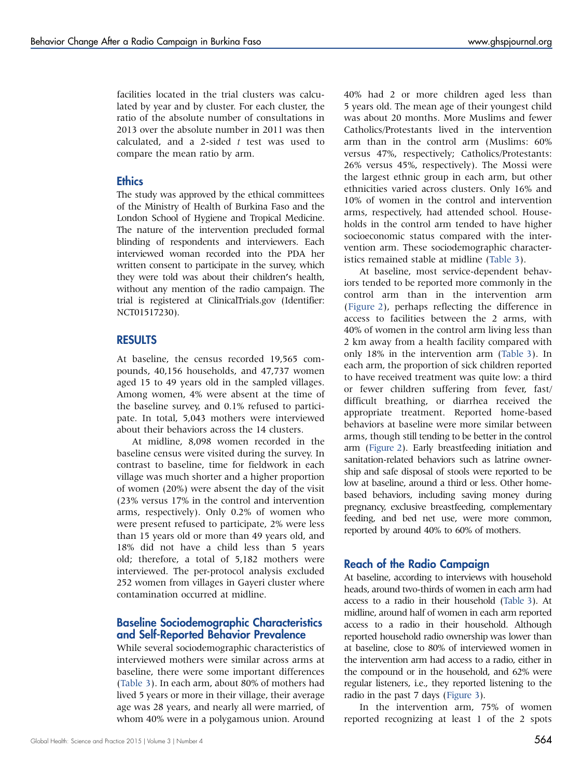facilities located in the trial clusters was calculated by year and by cluster. For each cluster, the ratio of the absolute number of consultations in 2013 over the absolute number in 2011 was then calculated, and a 2-sided  $t$  test was used to compare the mean ratio by arm.

## **Ethics**

The study was approved by the ethical committees of the Ministry of Health of Burkina Faso and the London School of Hygiene and Tropical Medicine. The nature of the intervention precluded formal blinding of respondents and interviewers. Each interviewed woman recorded into the PDA her written consent to participate in the survey, which they were told was about their children's health, without any mention of the radio campaign. The trial is registered at ClinicalTrials.gov (Identifier: NCT01517230).

## RESULTS

At baseline, the census recorded 19,565 compounds, 40,156 households, and 47,737 women aged 15 to 49 years old in the sampled villages. Among women, 4% were absent at the time of the baseline survey, and 0.1% refused to participate. In total, 5,043 mothers were interviewed about their behaviors across the 14 clusters.

At midline, 8,098 women recorded in the baseline census were visited during the survey. In contrast to baseline, time for fieldwork in each village was much shorter and a higher proportion of women (20%) were absent the day of the visit (23% versus 17% in the control and intervention arms, respectively). Only 0.2% of women who were present refused to participate, 2% were less than 15 years old or more than 49 years old, and 18% did not have a child less than 5 years old; therefore, a total of 5,182 mothers were interviewed. The per-protocol analysis excluded 252 women from villages in Gayeri cluster where contamination occurred at midline.

## Baseline Sociodemographic Characteristics and Self-Reported Behavior Prevalence

While several sociodemographic characteristics of interviewed mothers were similar across arms at baseline, there were some important differences [\(Table 3\)](#page-8-0). In each arm, about 80% of mothers had lived 5 years or more in their village, their average age was 28 years, and nearly all were married, of whom 40% were in a polygamous union. Around 40% had 2 or more children aged less than 5 years old. The mean age of their youngest child was about 20 months. More Muslims and fewer Catholics/Protestants lived in the intervention arm than in the control arm (Muslims: 60% versus 47%, respectively; Catholics/Protestants: 26% versus 45%, respectively). The Mossi were the largest ethnic group in each arm, but other ethnicities varied across clusters. Only 16% and 10% of women in the control and intervention arms, respectively, had attended school. Households in the control arm tended to have higher socioeconomic status compared with the intervention arm. These sociodemographic characteristics remained stable at midline [\(Table 3\)](#page-8-0).

At baseline, most service-dependent behaviors tended to be reported more commonly in the control arm than in the intervention arm ([Figure 2\)](#page-9-0), perhaps reflecting the difference in access to facilities between the 2 arms, with 40% of women in the control arm living less than 2 km away from a health facility compared with only 18% in the intervention arm ([Table 3](#page-8-0)). In each arm, the proportion of sick children reported to have received treatment was quite low: a third or fewer children suffering from fever, fast/ difficult breathing, or diarrhea received the appropriate treatment. Reported home-based behaviors at baseline were more similar between arms, though still tending to be better in the control arm [\(Figure 2\)](#page-9-0). Early breastfeeding initiation and sanitation-related behaviors such as latrine ownership and safe disposal of stools were reported to be low at baseline, around a third or less. Other homebased behaviors, including saving money during pregnancy, exclusive breastfeeding, complementary feeding, and bed net use, were more common, reported by around 40% to 60% of mothers.

## Reach of the Radio Campaign

At baseline, according to interviews with household heads, around two-thirds of women in each arm had access to a radio in their household [\(Table 3](#page-8-0)). At midline, around half of women in each arm reported access to a radio in their household. Although reported household radio ownership was lower than at baseline, close to 80% of interviewed women in the intervention arm had access to a radio, either in the compound or in the household, and 62% were regular listeners, i.e., they reported listening to the radio in the past 7 days [\(Figure 3](#page-10-0)).

In the intervention arm, 75% of women reported recognizing at least 1 of the 2 spots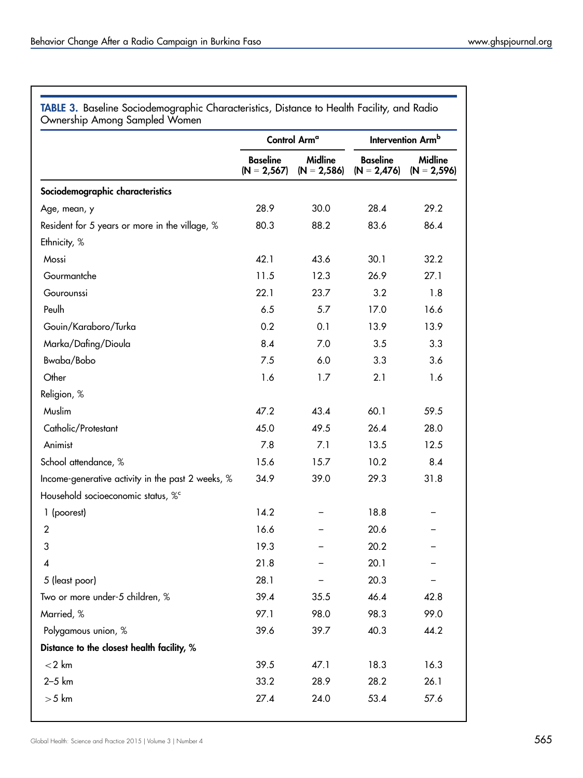|                                                   |                                  | Control Arm <sup>a</sup> | Intervention Arm <sup>b</sup>    |                                 |  |
|---------------------------------------------------|----------------------------------|--------------------------|----------------------------------|---------------------------------|--|
|                                                   | <b>Baseline</b><br>$(N = 2,567)$ | Midline<br>$(N = 2,586)$ | <b>Baseline</b><br>$(N = 2,476)$ | <b>Midline</b><br>$(N = 2,596)$ |  |
| Sociodemographic characteristics                  |                                  |                          |                                  |                                 |  |
| Age, mean, y                                      | 28.9                             | 30.0                     | 28.4                             | 29.2                            |  |
| Resident for 5 years or more in the village, %    | 80.3                             | 88.2                     | 83.6                             | 86.4                            |  |
| Ethnicity, %                                      |                                  |                          |                                  |                                 |  |
| Mossi                                             | 42.1                             | 43.6                     | 30.1                             | 32.2                            |  |
| Gourmantche                                       | 11.5                             | 12.3                     | 26.9                             | 27.1                            |  |
| Gourounssi                                        | 22.1                             | 23.7                     | 3.2                              | 1.8                             |  |
| Peulh                                             | 6.5                              | 5.7                      | 17.0                             | 16.6                            |  |
| Gouin/Karaboro/Turka                              | 0.2                              | 0.1                      | 13.9                             | 13.9                            |  |
| Marka/Dafing/Dioula                               | 8.4                              | 7.0                      | 3.5                              | 3.3                             |  |
| Bwaba/Bobo                                        | 7.5                              | 6.0                      | 3.3                              | 3.6                             |  |
| Other                                             | 1.6                              | 1.7                      | 2.1                              | 1.6                             |  |
| Religion, %                                       |                                  |                          |                                  |                                 |  |
| Muslim                                            | 47.2                             | 43.4                     | 60.1                             | 59.5                            |  |
| Catholic/Protestant                               | 45.0                             | 49.5                     | 26.4                             | 28.0                            |  |
| Animist                                           | 7.8                              | 7.1                      | 13.5                             | 12.5                            |  |
| School attendance, %                              | 15.6                             | 15.7                     | 10.2                             | 8.4                             |  |
| Income-generative activity in the past 2 weeks, % | 34.9                             | 39.0                     | 29.3                             | 31.8                            |  |
| Household socioeconomic status, %c                |                                  |                          |                                  |                                 |  |
| 1 (poorest)                                       | 14.2                             |                          | 18.8                             |                                 |  |
| $\overline{2}$                                    | 16.6                             |                          | 20.6                             |                                 |  |
| 3                                                 | 19.3                             |                          | 20.2                             |                                 |  |
| 4                                                 | 21.8                             |                          | 20.1                             |                                 |  |
| 5 (least poor)                                    | 28.1                             |                          | 20.3                             |                                 |  |
| Two or more under-5 children, %                   | 39.4                             | 35.5                     | 46.4                             | 42.8                            |  |
| Married, %                                        | 97.1                             | 98.0                     | 98.3                             | 99.0                            |  |
| Polygamous union, %                               | 39.6                             | 39.7                     | 40.3                             | 44.2                            |  |
| Distance to the closest health facility, %        |                                  |                          |                                  |                                 |  |
| $<$ 2 km                                          | 39.5                             | 47.1                     | 18.3                             | 16.3                            |  |
| 2-5 km                                            | 33.2                             | 28.9                     | 28.2                             | 26.1                            |  |
| $>5$ km                                           | 27.4                             | 24.0                     | 53.4                             | 57.6                            |  |

<span id="page-8-0"></span>TABLE 3. Baseline Sociodemographic Characteristics, Distance to Health Facility, and Radio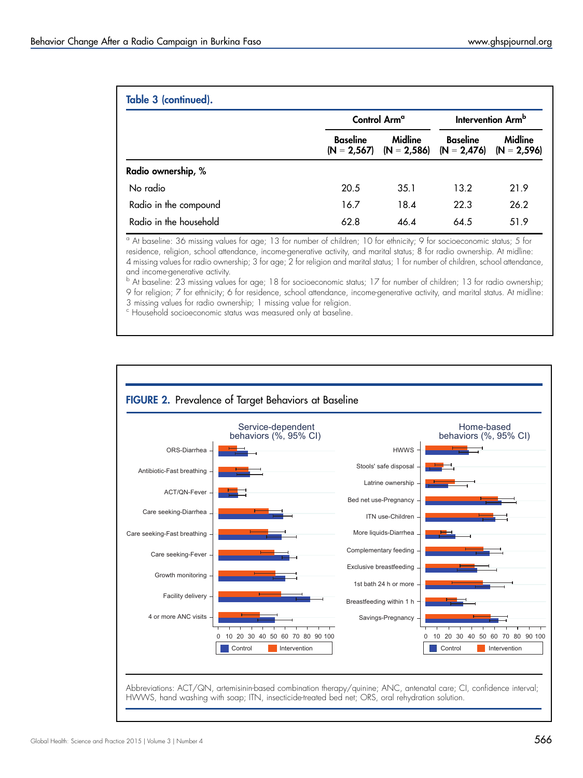<span id="page-9-0"></span>

| Table 3 (continued).   |                 |                          |                                                                            |         |  |  |  |  |  |
|------------------------|-----------------|--------------------------|----------------------------------------------------------------------------|---------|--|--|--|--|--|
|                        |                 | Control Arm <sup>a</sup> |                                                                            |         |  |  |  |  |  |
|                        | <b>Baseline</b> | <b>Midline</b>           | <b>Baseline</b><br>$(N = 2,567)$ $(N = 2,586)$ $(N = 2,476)$ $(N = 2,596)$ | Midline |  |  |  |  |  |
| Radio ownership, %     |                 |                          |                                                                            |         |  |  |  |  |  |
| No radio               | 20.5            | 35.1                     | 13.2                                                                       | 21.9    |  |  |  |  |  |
| Radio in the compound  | 16.7            | 18.4                     | 22.3                                                                       | 26.2    |  |  |  |  |  |
| Radio in the household | 62.8            | 46.4                     | 64.5                                                                       | 51.9    |  |  |  |  |  |

<sup>a</sup> At baseline: 36 missing values for age; 13 for number of children; 10 for ethnicity; 9 for socioeconomic status; 5 for residence, religion, school attendance, income-generative activity, and marital status; 8 for radio ownership. At midline: 4 missing values for radio ownership; 3 for age; 2 for religion and marital status; 1 for number of children, school attendance, and income-generative activity.

 $^{\rm b}$  At baseline: 23 missing values for age; 18 for socioeconomic status; 17 for number of children; 13 for radio ownership; 9 for religion; 7 for ethnicity; 6 for residence, school attendance, income-generative activity, and marital status. At midline: 3 missing values for radio ownership; 1 missing value for religion.

<sup>c</sup> Household socioeconomic status was measured only at baseline.

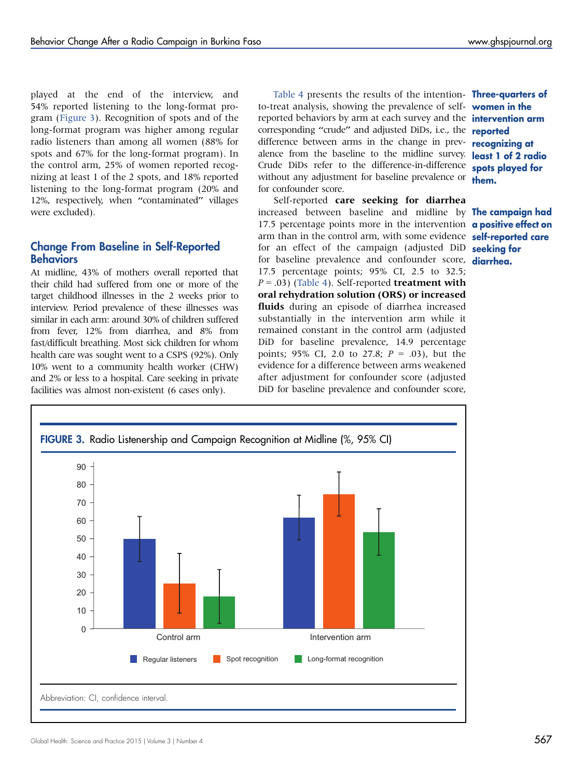<span id="page-10-0"></span>played at the end of the interview, and 54% reported listening to the long-format program (Figure 3). Recognition of spots and of the long-format program was higher among regular radio listeners than among all women (88% for spots and 67% for the long-format program). In the control arm, 25% of women reported recognizing at least 1 of the 2 spots, and 18% reported listening to the long-format program (20% and 12%, respectively, when ''contaminated'' villages were excluded).

## Change From Baseline in Self-Reported **Behaviors**

At midline, 43% of mothers overall reported that their child had suffered from one or more of the target childhood illnesses in the 2 weeks prior to interview. Period prevalence of these illnesses was similar in each arm: around 30% of children suffered from fever, 12% from diarrhea, and 8% from fast/difficult breathing. Most sick children for whom health care was sought went to a CSPS (92%). Only 10% went to a community health worker (CHW) and 2% or less to a hospital. Care seeking in private facilities was almost non-existent (6 cases only).

[Table 4](#page-11-0) presents the results of the intention- **Three-quarters of** to-treat analysis, showing the prevalence of self- **women in the** reported behaviors by arm at each survey and the **intervention arm** corresponding "crude" and adjusted DiDs, i.e., the **reported** difference between arms in the change in prev- recognizing at alence from the baseline to the midline survey. least 1 of 2 radio Crude DiDs refer to the difference-in-difference without any adjustment for baseline prevalence or for confounder score.

Self-reported care seeking for diarrhea increased between baseline and midline by **The-campaign-had** 17.5 percentage points more in the intervention **a positive effect on** arm than in the control arm, with some evidence self-reported care for an effect of the campaign (adjusted DiD seeking for for baseline prevalence and confounder score, **diarrhea.** 17.5 percentage points; 95% CI, 2.5 to 32.5;  $P = .03$ ) [\(Table 4\)](#page-11-0). Self-reported **treatment with** oral rehydration solution (ORS) or increased fluids during an episode of diarrhea increased substantially in the intervention arm while it remained constant in the control arm (adjusted DiD for baseline prevalence, 14.9 percentage points; 95% CI, 2.0 to 27.8;  $P = .03$ ), but the evidence for a difference between arms weakened after adjustment for confounder score (adjusted DiD for baseline prevalence and confounder score,

spots played for them.

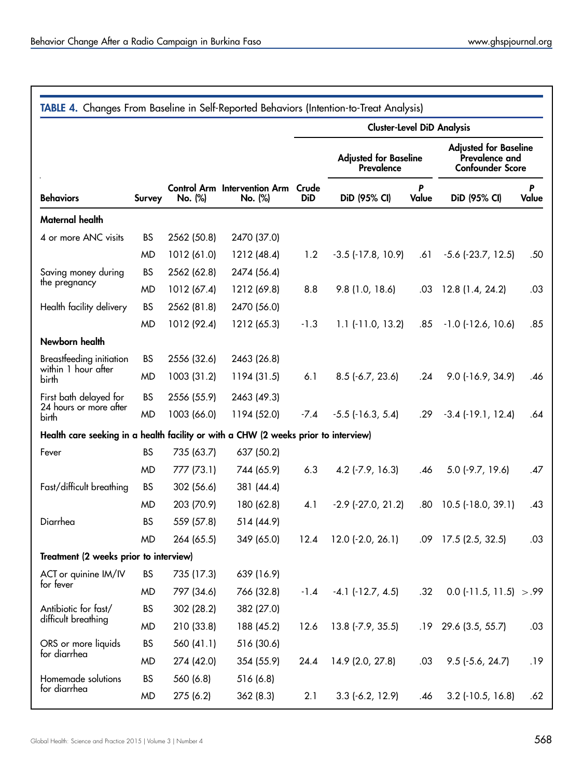<span id="page-11-0"></span>

|                                                                                     |               |             |                                               | <b>Cluster-Level DiD Analysis</b> |                                            |            |                                                                           |            |  |
|-------------------------------------------------------------------------------------|---------------|-------------|-----------------------------------------------|-----------------------------------|--------------------------------------------|------------|---------------------------------------------------------------------------|------------|--|
|                                                                                     |               |             |                                               |                                   | <b>Adjusted for Baseline</b><br>Prevalence |            | <b>Adjusted for Baseline</b><br>Prevalence and<br><b>Confounder Score</b> |            |  |
| <b>Behaviors</b>                                                                    | <b>Survey</b> | No. (%)     | Control Arm Intervention Arm Crude<br>No. (%) | <b>DiD</b>                        | DiD (95% CI)                               | P<br>Value | DiD (95% CI)                                                              | P<br>Value |  |
| Maternal health                                                                     |               |             |                                               |                                   |                                            |            |                                                                           |            |  |
| 4 or more ANC visits                                                                | BS            | 2562 (50.8) | 2470 (37.0)                                   |                                   |                                            |            |                                                                           |            |  |
|                                                                                     | <b>MD</b>     | 1012 (61.0) | 1212 (48.4)                                   | 1.2                               | $-3.5$ ( $-17.8$ , $10.9$ )                | .61        | $-5.6$ ( $-23.7$ , 12.5)                                                  | .50        |  |
| Saving money during                                                                 | <b>BS</b>     | 2562 (62.8) | 2474 (56.4)                                   |                                   |                                            |            |                                                                           |            |  |
| the pregnancy                                                                       | <b>MD</b>     | 1012 (67.4) | 1212 (69.8)                                   | 8.8                               | 9.8(1.0, 18.6)                             | .03        | 12.8 (1.4, 24.2)                                                          | .03        |  |
| Health facility delivery                                                            | <b>BS</b>     | 2562 (81.8) | 2470 (56.0)                                   |                                   |                                            |            |                                                                           |            |  |
|                                                                                     | <b>MD</b>     | 1012 (92.4) | 1212 (65.3)                                   | $-1.3$                            | $1.1$ ( $-11.0$ , $13.2$ )                 | .85        | $-1.0$ ( $-12.6$ , $10.6$ )                                               | .85        |  |
| Newborn health                                                                      |               |             |                                               |                                   |                                            |            |                                                                           |            |  |
| Breastfeeding initiation                                                            | <b>BS</b>     | 2556 (32.6) | 2463 (26.8)                                   |                                   |                                            |            |                                                                           |            |  |
| within 1 hour after<br>birth                                                        | <b>MD</b>     | 1003 (31.2) | 1194 (31.5)                                   | 6.1                               | $8.5$ (-6.7, 23.6)                         | .24        | $9.0$ ( $-16.9$ , $34.9$ )                                                | .46        |  |
| First bath delayed for<br>24 hours or more after<br>birth                           | <b>BS</b>     | 2556 (55.9) | 2463 (49.3)                                   |                                   |                                            |            |                                                                           |            |  |
|                                                                                     | <b>MD</b>     | 1003 (66.0) | 1194 (52.0)                                   | $-7.4$                            | $-5.5$ ( $-16.3$ , $5.4$ )                 | .29        | $-3.4$ ( $-19.1$ , $12.4$ )                                               | .64        |  |
| Health care seeking in a health facility or with a CHW (2 weeks prior to interview) |               |             |                                               |                                   |                                            |            |                                                                           |            |  |
| Fever                                                                               | BS            | 735 (63.7)  | 637 (50.2)                                    |                                   |                                            |            |                                                                           |            |  |
|                                                                                     | MD            | 777 (73.1)  | 744 (65.9)                                    | 6.3                               | $4.2$ ( $-7.9$ , 16.3)                     | .46        | 5.0 (-9.7, 19.6)                                                          | .47        |  |
| Fast/difficult breathing                                                            | <b>BS</b>     | 302 (56.6)  | 381 (44.4)                                    |                                   |                                            |            |                                                                           |            |  |
|                                                                                     | <b>MD</b>     | 203 (70.9)  | 180 (62.8)                                    | 4.1                               | $-2.9$ ( $-27.0$ , $21.2$ )                | .80        | $10.5$ ( $-18.0$ , 39.1)                                                  | .43        |  |
| Diarrhea                                                                            | <b>BS</b>     | 559 (57.8)  | 514 (44.9)                                    |                                   |                                            |            |                                                                           |            |  |
|                                                                                     | <b>MD</b>     | 264 (65.5)  | 349 (65.0)                                    | 12.4                              | $12.0$ (-2.0, 26.1)                        | .09        | 17.5 (2.5, 32.5)                                                          | .03        |  |
| Treatment (2 weeks prior to interview)                                              |               |             |                                               |                                   |                                            |            |                                                                           |            |  |
| ACT or quinine IM/IV                                                                | <b>BS</b>     | 735 (17.3)  | 639 (16.9)                                    |                                   |                                            |            |                                                                           |            |  |
| for fever                                                                           | <b>MD</b>     | 797 (34.6)  | 766 (32.8)                                    | $-1.4$                            | $-4.1$ $(-12.7, 4.5)$                      | .32        | $0.0$ (-11.5, 11.5) > .99                                                 |            |  |
| Antibiotic for fast/<br>difficult breathing                                         | BS            | 302 (28.2)  | 382 (27.0)                                    |                                   |                                            |            |                                                                           |            |  |
|                                                                                     | <b>MD</b>     | 210 (33.8)  | 188 (45.2)                                    | 12.6                              | 13.8 (-7.9, 35.5)                          | .19        | 29.6 (3.5, 55.7)                                                          | .03        |  |
| ORS or more liquids                                                                 | BS            | 560 (41.1)  | 516 (30.6)                                    |                                   |                                            |            |                                                                           |            |  |
| for diarrhea                                                                        | MD            | 274 (42.0)  | 354 (55.9)                                    | 24.4                              | 14.9 (2.0, 27.8)                           | .03        | $9.5$ ( $-5.6$ , 24.7)                                                    | .19        |  |
| Homemade solutions                                                                  | BS            | 560 (6.8)   | 516 (6.8)                                     |                                   |                                            |            |                                                                           |            |  |
| for diarrhea                                                                        | <b>MD</b>     | 275(6.2)    | 362 (8.3)                                     | 2.1                               | $3.3$ (-6.2, 12.9)                         | .46        | $3.2$ ( $-10.5$ , $16.8$ )                                                | .62        |  |
|                                                                                     |               |             |                                               |                                   |                                            |            |                                                                           |            |  |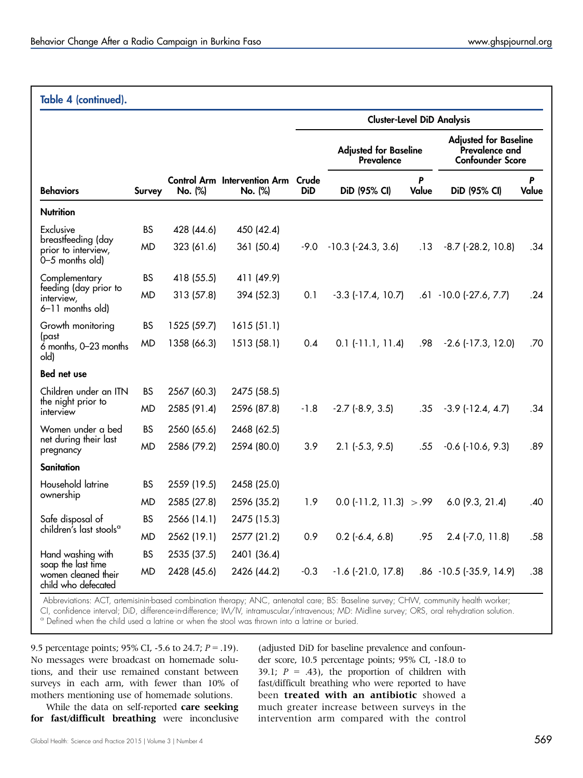|                                                                       |               |             | <b>Control Arm Intervention Arm Crude</b><br>No. (%) | <b>Cluster-Level DiD Analysis</b> |                                            |            |                                                                           |            |  |
|-----------------------------------------------------------------------|---------------|-------------|------------------------------------------------------|-----------------------------------|--------------------------------------------|------------|---------------------------------------------------------------------------|------------|--|
| <b>Behaviors</b>                                                      |               |             |                                                      |                                   | <b>Adjusted for Baseline</b><br>Prevalence |            | <b>Adjusted for Baseline</b><br>Prevalence and<br><b>Confounder Score</b> |            |  |
|                                                                       | <b>Survey</b> | No. (%)     |                                                      | <b>DiD</b>                        | DiD (95% CI)                               | P<br>Value | DiD (95% CI)                                                              | P<br>Value |  |
| <b>Nutrition</b>                                                      |               |             |                                                      |                                   |                                            |            |                                                                           |            |  |
| <b>Exclusive</b>                                                      | <b>BS</b>     | 428 (44.6)  | 450 (42.4)                                           |                                   |                                            |            |                                                                           |            |  |
| breastfeeding (day<br>prior to interview,<br>0-5 months old)          | <b>MD</b>     | 323 (61.6)  | 361 (50.4)                                           | $-9.0$                            | $-10.3$ $(-24.3, 3.6)$                     | .13        | $-8.7$ ( $-28.2$ , 10.8)                                                  | .34        |  |
| Complementary                                                         | <b>BS</b>     | 418 (55.5)  | 411 (49.9)                                           |                                   |                                            |            |                                                                           |            |  |
| feeding (day prior to<br>interview,<br>6-11 months old)               | <b>MD</b>     | 313 (57.8)  | 394 (52.3)                                           | 0.1                               | $-3.3$ $(-17.4, 10.7)$                     |            | $.61 - 10.0$ (-27.6, 7.7)                                                 | .24        |  |
| Growth monitoring<br>(past<br>$\acute{o}$ months, 0-23 months<br>old) | <b>BS</b>     | 1525 (59.7) | 1615(51.1)                                           |                                   |                                            |            |                                                                           |            |  |
|                                                                       | <b>MD</b>     | 1358 (66.3) | 1513 (58.1)                                          | 0.4                               | $0.1$ ( $-11.1$ , $11.4$ )                 | .98        | $-2.6$ $(-17.3, 12.0)$                                                    | .70        |  |
| Bed net use                                                           |               |             |                                                      |                                   |                                            |            |                                                                           |            |  |
| Children under an ITN                                                 | <b>BS</b>     | 2567 (60.3) | 2475 (58.5)                                          |                                   |                                            |            |                                                                           |            |  |
| the night prior to<br>interview                                       | MD            | 2585 (91.4) | 2596 (87.8)                                          | $-1.8$                            | $-2.7$ ( $-8.9$ , $3.5$ )                  | .35        | $-3.9$ $(-12.4, 4.7)$                                                     | .34        |  |
| Women under a bed                                                     | <b>BS</b>     | 2560 (65.6) | 2468 (62.5)                                          |                                   |                                            |            |                                                                           |            |  |
| net during their last<br>pregnancy                                    | <b>MD</b>     | 2586 (79.2) | 2594 (80.0)                                          | 3.9                               | $2.1$ ( $-5.3$ , $9.5$ )                   | .55        | $-0.6$ ( $-10.6$ , $9.3$ )                                                | .89        |  |
| <b>Sanitation</b>                                                     |               |             |                                                      |                                   |                                            |            |                                                                           |            |  |
| Household latrine                                                     | <b>BS</b>     | 2559 (19.5) | 2458 (25.0)                                          |                                   |                                            |            |                                                                           |            |  |
| ownership                                                             | <b>MD</b>     | 2585 (27.8) | 2596 (35.2)                                          | 1.9                               | $0.0$ (-11.2, 11.3) > .99                  |            | $6.0$ (9.3, 21.4)                                                         | .40        |  |
| Safe disposal of                                                      | <b>BS</b>     | 2566 (14.1) | 2475 (15.3)                                          |                                   |                                            |            |                                                                           |            |  |
| children's last stools <sup>a</sup>                                   | <b>MD</b>     | 2562 (19.1) | 2577 (21.2)                                          | 0.9                               | $0.2$ (-6.4, 6.8)                          | .95        | $2.4$ ( $-7.0$ , 11.8)                                                    | .58        |  |
| Hand washing with                                                     | <b>BS</b>     | 2535 (37.5) | 2401 (36.4)                                          |                                   |                                            |            |                                                                           |            |  |
| soap the last time<br>women cleaned their<br>child who defecated      | <b>MD</b>     | 2428 (45.6) | 2426 (44.2)                                          | $-0.3$                            | $-1.6$ $(-21.0, 17.8)$                     |            | $.86 - 10.5$ ( $-35.9$ , 14.9)                                            | .38        |  |

Abbreviations: ACT, artemisinin-based combination therapy; ANC, antenatal care; BS: Baseline survey; CHW, community health worker; CI, confidence interval; DiD, difference-in-difference; IM/IV, intramuscular/intravenous; MD: Midline survey; ORS, oral rehydration solution. <sup>a</sup> Defined when the child used a latrine or when the stool was thrown into a latrine or buried.

9.5 percentage points;  $95\%$  CI, -5.6 to 24.7;  $P = .19$ ). No messages were broadcast on homemade solutions, and their use remained constant between surveys in each arm, with fewer than 10% of mothers mentioning use of homemade solutions.

While the data on self-reported care seeking for fast/difficult breathing were inconclusive

(adjusted DiD for baseline prevalence and confounder score, 10.5 percentage points; 95% CI, -18.0 to 39.1;  $P = .43$ ), the proportion of children with fast/difficult breathing who were reported to have been treated with an antibiotic showed a much greater increase between surveys in the intervention arm compared with the control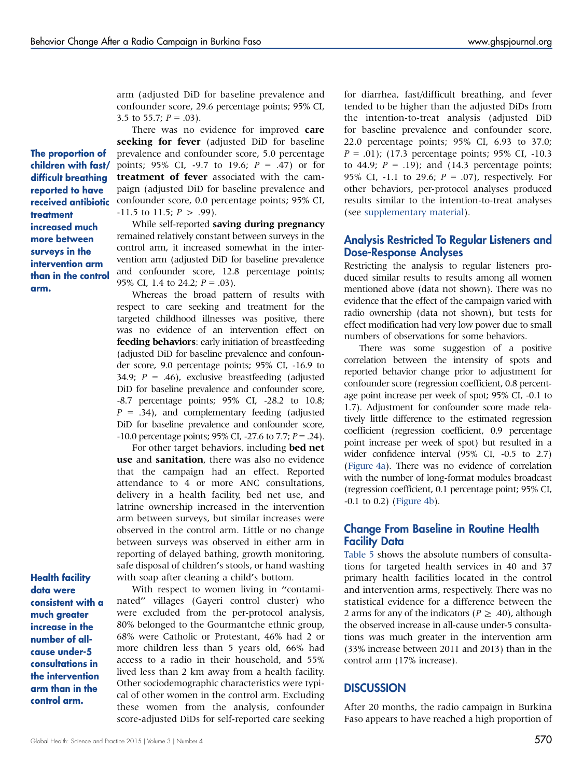arm (adjusted DiD for baseline prevalence and confounder score, 29.6 percentage points; 95% CI, 3.5 to 55.7;  $P = .03$ ).

The proportion of children with fast/ difficult breathing reported to have received antibiotic treatment increased much more between surveys in the intervention arm than in the control arm.

Health facility data were consistent with a much greater increase in the number of allcause under-5 consultations in the intervention arm than in the control arm.

There was no evidence for improved care seeking for fever (adjusted DiD for baseline prevalence and confounder score, 5.0 percentage points;  $95\%$  CI,  $-9.7$  to 19.6;  $P = .47$ ) or for treatment of fever associated with the campaign (adjusted DiD for baseline prevalence and confounder score, 0.0 percentage points; 95% CI,

 $-11.5$  to  $11.5$ ;  $P > .99$ ). While self-reported saving during pregnancy remained relatively constant between surveys in the control arm, it increased somewhat in the intervention arm (adjusted DiD for baseline prevalence and confounder score, 12.8 percentage points; 95% CI, 1.4 to 24.2;  $P = .03$ ).

Whereas the broad pattern of results with respect to care seeking and treatment for the targeted childhood illnesses was positive, there was no evidence of an intervention effect on feeding behaviors: early initiation of breastfeeding (adjusted DiD for baseline prevalence and confounder score, 9.0 percentage points; 95% CI, -16.9 to 34.9;  $P = .46$ ), exclusive breastfeeding (adjusted DiD for baseline prevalence and confounder score, -8.7 percentage points; 95% CI, -28.2 to 10.8;  $P = .34$ ), and complementary feeding (adjusted DiD for baseline prevalence and confounder score,  $-10.0$  percentage points; 95% CI,  $-27.6$  to 7.7;  $P = .24$ ).

For other target behaviors, including bed net use and sanitation, there was also no evidence that the campaign had an effect. Reported attendance to 4 or more ANC consultations, delivery in a health facility, bed net use, and latrine ownership increased in the intervention arm between surveys, but similar increases were observed in the control arm. Little or no change between surveys was observed in either arm in reporting of delayed bathing, growth monitoring, safe disposal of children's stools, or hand washing with soap after cleaning a child's bottom.

With respect to women living in "contaminated'' villages (Gayeri control cluster) who were excluded from the per-protocol analysis, 80% belonged to the Gourmantche ethnic group, 68% were Catholic or Protestant, 46% had 2 or more children less than 5 years old, 66% had access to a radio in their household, and 55% lived less than 2 km away from a health facility. Other sociodemographic characteristics were typical of other women in the control arm. Excluding these women from the analysis, confounder score-adjusted DiDs for self-reported care seeking for diarrhea, fast/difficult breathing, and fever tended to be higher than the adjusted DiDs from the intention-to-treat analysis (adjusted DiD for baseline prevalence and confounder score, 22.0 percentage points; 95% CI, 6.93 to 37.0;  $P = .01$ ); (17.3 percentage points; 95% CI, -10.3 to 44.9;  $P = .19$ ; and (14.3 percentage points; 95% CI, -1.1 to 29.6;  $P = .07$ ), respectively. For other behaviors, per-protocol analyses produced results similar to the intention-to-treat analyses (see [supplementary material](http://ghspjournal.org/lookup/suppl/doi:10.9745/GHSP-D-15-00153/-/DCSupplemental)).

### Analysis Restricted To Regular Listeners and Dose-Response Analyses

Restricting the analysis to regular listeners produced similar results to results among all women mentioned above (data not shown). There was no evidence that the effect of the campaign varied with radio ownership (data not shown), but tests for effect modification had very low power due to small numbers of observations for some behaviors.

There was some suggestion of a positive correlation between the intensity of spots and reported behavior change prior to adjustment for confounder score (regression coefficient, 0.8 percentage point increase per week of spot; 95% CI, -0.1 to 1.7). Adjustment for confounder score made relatively little difference to the estimated regression coefficient (regression coefficient, 0.9 percentage point increase per week of spot) but resulted in a wider confidence interval (95% CI, -0.5 to 2.7) [\(Figure 4a\)](#page-14-0). There was no evidence of correlation with the number of long-format modules broadcast (regression coefficient, 0.1 percentage point; 95% CI, -0.1 to 0.2) [\(Figure 4b](#page-14-0)).

## Change From Baseline in Routine Health Facility Data

[Table 5](#page-15-0) shows the absolute numbers of consultations for targeted health services in 40 and 37 primary health facilities located in the control and intervention arms, respectively. There was no statistical evidence for a difference between the 2 arms for any of the indicators ( $P \geq .40$ ), although the observed increase in all-cause under-5 consultations was much greater in the intervention arm (33% increase between 2011 and 2013) than in the control arm (17% increase).

#### **DISCUSSION**

After 20 months, the radio campaign in Burkina Faso appears to have reached a high proportion of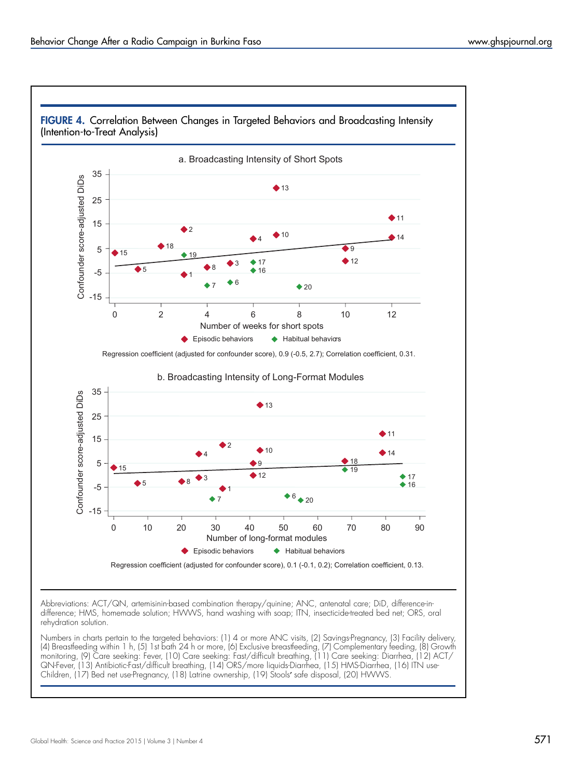<span id="page-14-0"></span>

Abbreviations: ACT/QN, artemisinin-based combination therapy/quinine; ANC, antenatal care; DiD, difference-indifference; HMS, homemade solution; HWWS, hand washing with soap; ITN, insecticide-treated bed net; ORS, oral rehydration solution.

Numbers in charts pertain to the targeted behaviors: (1) 4 or more ANC visits, (2) Savings-Pregnancy, (3) Facility delivery, (4) Breastfeeding within 1 h, (5) 1st bath 24 h or more, (6) Exclusive breastfeeding, (7) Complementary feeding, (8) Growth monitoring, (9) Care seeking: Fever, (10) Care seeking: Fast/difficult breathing, (11) Care seeking: Diarrhea, (12) ACT/ QN-Fever, (13) Antibiotic-Fast/difficult breathing, (14) ORS/more liquids-Diarrhea, (15) HMS-Diarrhea, (16) ITN use-Children, (17) Bed net use-Pregnancy, (18) Latrine ownership, (19) Stools' safe disposal, (20) HWWS.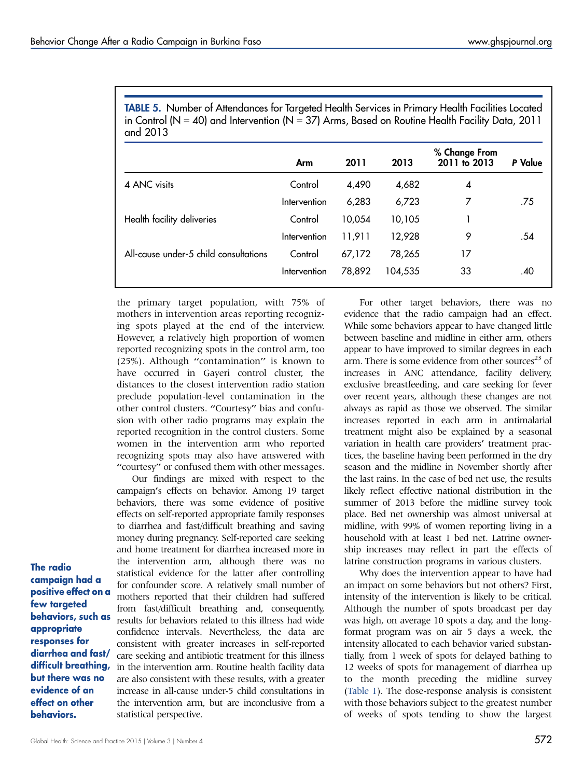| and 2013                              |              |        |         |                               |         |
|---------------------------------------|--------------|--------|---------|-------------------------------|---------|
|                                       | Arm          | 2011   | 2013    | % Change From<br>2011 to 2013 | P Value |
| 4 ANC visits                          | Control      | 4,490  | 4,682   | 4                             |         |
|                                       | Intervention | 6,283  | 6,723   | 7                             | .75     |
| Health facility deliveries            | Control      | 10,054 | 10,105  |                               |         |
|                                       | Intervention | 11,911 | 12,928  | 9                             | .54     |
| All-cause under-5 child consultations | Control      | 67,172 | 78,265  | 17                            |         |
|                                       | Intervention | 78,892 | 104,535 | 33                            | .40     |

<span id="page-15-0"></span>TABLE 5. Number of Attendances for Targeted Health Services in Primary Health Facilities Located in Control (N = 40) and Intervention (N = 37) Arms, Based on Routine Health Facility Data, 2011

the primary target population, with 75% of mothers in intervention areas reporting recognizing spots played at the end of the interview. However, a relatively high proportion of women reported recognizing spots in the control arm, too (25%). Although ''contamination'' is known to have occurred in Gayeri control cluster, the distances to the closest intervention radio station preclude population-level contamination in the other control clusters. ''Courtesy'' bias and confusion with other radio programs may explain the reported recognition in the control clusters. Some women in the intervention arm who reported recognizing spots may also have answered with "courtesy" or confused them with other messages.

Our findings are mixed with respect to the campaign's effects on behavior. Among 19 target behaviors, there was some evidence of positive effects on self-reported appropriate family responses to diarrhea and fast/difficult breathing and saving money during pregnancy. Self-reported care seeking and home treatment for diarrhea increased more in the intervention arm, although there was no statistical evidence for the latter after controlling for confounder score. A relatively small number of mothers reported that their children had suffered from fast/difficult breathing and, consequently, results for behaviors related to this illness had wide confidence intervals. Nevertheless, the data are consistent with greater increases in self-reported care seeking and antibiotic treatment for this illness in the intervention arm. Routine health facility data are also consistent with these results, with a greater increase in all-cause under-5 child consultations in the intervention arm, but are inconclusive from a statistical perspective.

For other target behaviors, there was no evidence that the radio campaign had an effect. While some behaviors appear to have changed little between baseline and midline in either arm, others appear to have improved to similar degrees in each arm. There is some evidence from other sources $^{23}$  of increases in ANC attendance, facility delivery, exclusive breastfeeding, and care seeking for fever over recent years, although these changes are not always as rapid as those we observed. The similar increases reported in each arm in antimalarial treatment might also be explained by a seasonal variation in health care providers' treatment practices, the baseline having been performed in the dry season and the midline in November shortly after the last rains. In the case of bed net use, the results likely reflect effective national distribution in the summer of 2013 before the midline survey took place. Bed net ownership was almost universal at midline, with 99% of women reporting living in a household with at least 1 bed net. Latrine ownership increases may reflect in part the effects of latrine construction programs in various clusters.

Why does the intervention appear to have had an impact on some behaviors but not others? First, intensity of the intervention is likely to be critical. Although the number of spots broadcast per day was high, on average 10 spots a day, and the longformat program was on air 5 days a week, the intensity allocated to each behavior varied substantially, from 1 week of spots for delayed bathing to 12 weeks of spots for management of diarrhea up to the month preceding the midline survey [\(Table 1\)](#page-4-0). The dose-response analysis is consistent with those behaviors subject to the greatest number of weeks of spots tending to show the largest

The radio campaign had a positive effect on a few targeted behaviors, such as appropriate responses for diarrhea and fast/ difficult breathing, but there was no evidence of an effect on other behaviors.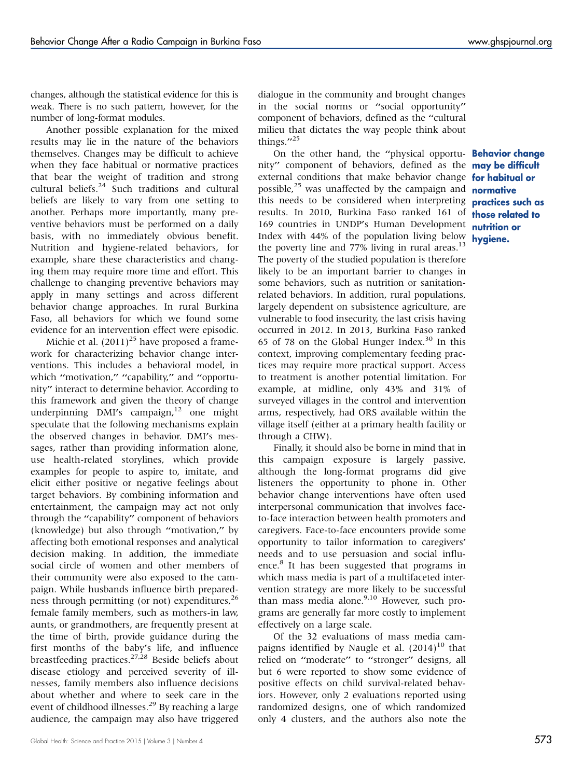changes, although the statistical evidence for this is weak. There is no such pattern, however, for the number of long-format modules.

Another possible explanation for the mixed results may lie in the nature of the behaviors themselves. Changes may be difficult to achieve when they face habitual or normative practices that bear the weight of tradition and strong cultural beliefs.<sup>24</sup> Such traditions and cultural beliefs are likely to vary from one setting to another. Perhaps more importantly, many preventive behaviors must be performed on a daily basis, with no immediately obvious benefit. Nutrition and hygiene-related behaviors, for example, share these characteristics and changing them may require more time and effort. This challenge to changing preventive behaviors may apply in many settings and across different behavior change approaches. In rural Burkina Faso, all behaviors for which we found some evidence for an intervention effect were episodic.

Michie et al.  $(2011)^{25}$  have proposed a framework for characterizing behavior change interventions. This includes a behavioral model, in which "motivation," "capability," and "opportunity'' interact to determine behavior. According to this framework and given the theory of change underpinning DMI's campaign,<sup>12</sup> one might speculate that the following mechanisms explain the observed changes in behavior. DMI's messages, rather than providing information alone, use health-related storylines, which provide examples for people to aspire to, imitate, and elicit either positive or negative feelings about target behaviors. By combining information and entertainment, the campaign may act not only through the ''capability'' component of behaviors (knowledge) but also through ''motivation,'' by affecting both emotional responses and analytical decision making. In addition, the immediate social circle of women and other members of their community were also exposed to the campaign. While husbands influence birth preparedness through permitting (or not) expenditures,<sup>26</sup> female family members, such as mothers-in law, aunts, or grandmothers, are frequently present at the time of birth, provide guidance during the first months of the baby's life, and influence breastfeeding practices.<sup>27,28</sup> Beside beliefs about disease etiology and perceived severity of illnesses, family members also influence decisions about whether and where to seek care in the event of childhood illnesses.<sup>29</sup> By reaching a large audience, the campaign may also have triggered

dialogue in the community and brought changes in the social norms or ''social opportunity'' component of behaviors, defined as the ''cultural milieu that dictates the way people think about things.''<sup>25</sup>

On the other hand, the "physical opportu- **Behavior change** nity" component of behaviors, defined as the may be difficult external conditions that make behavior change for habitual or possible,<sup>25</sup> was unaffected by the campaign and **normative** this needs to be considered when interpreting **practices such as** results. In 2010, Burkina Faso ranked 161 of **those related to** 169 countries in UNDP's Human Development nutrition or Index with  $44%$  of the population living below **hygiene.** the poverty line and 77% living in rural areas. $^{13}$ The poverty of the studied population is therefore likely to be an important barrier to changes in some behaviors, such as nutrition or sanitationrelated behaviors. In addition, rural populations, largely dependent on subsistence agriculture, are vulnerable to food insecurity, the last crisis having occurred in 2012. In 2013, Burkina Faso ranked 65 of 78 on the Global Hunger Index.<sup>30</sup> In this context, improving complementary feeding practices may require more practical support. Access to treatment is another potential limitation. For example, at midline, only 43% and 31% of surveyed villages in the control and intervention arms, respectively, had ORS available within the village itself (either at a primary health facility or through a CHW).

Finally, it should also be borne in mind that in this campaign exposure is largely passive, although the long-format programs did give listeners the opportunity to phone in. Other behavior change interventions have often used interpersonal communication that involves faceto-face interaction between health promoters and caregivers. Face-to-face encounters provide some opportunity to tailor information to caregivers' needs and to use persuasion and social influence.<sup>8</sup> It has been suggested that programs in which mass media is part of a multifaceted intervention strategy are more likely to be successful than mass media alone.<sup>9,10</sup> However, such programs are generally far more costly to implement effectively on a large scale.

Of the 32 evaluations of mass media campaigns identified by Naugle et al.  $(2014)^{10}$  that relied on "moderate" to "stronger" designs, all but 6 were reported to show some evidence of positive effects on child survival-related behaviors. However, only 2 evaluations reported using randomized designs, one of which randomized only 4 clusters, and the authors also note the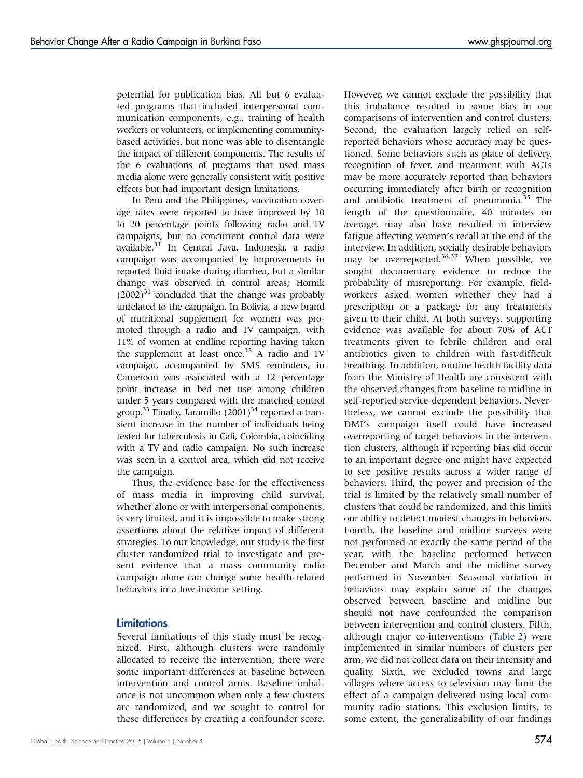potential for publication bias. All but 6 evaluated programs that included interpersonal communication components, e.g., training of health workers or volunteers, or implementing communitybased activities, but none was able to disentangle the impact of different components. The results of the 6 evaluations of programs that used mass media alone were generally consistent with positive effects but had important design limitations.

In Peru and the Philippines, vaccination coverage rates were reported to have improved by 10 to 20 percentage points following radio and TV campaigns, but no concurrent control data were available.31 In Central Java, Indonesia, a radio campaign was accompanied by improvements in reported fluid intake during diarrhea, but a similar change was observed in control areas; Hornik  $(2002)^{31}$  concluded that the change was probably unrelated to the campaign. In Bolivia, a new brand of nutritional supplement for women was promoted through a radio and TV campaign, with 11% of women at endline reporting having taken the supplement at least once.<sup>32</sup> A radio and TV campaign, accompanied by SMS reminders, in Cameroon was associated with a 12 percentage point increase in bed net use among children under 5 years compared with the matched control group.<sup>33</sup> Finally, Jaramillo  $(2001)^{34}$  reported a transient increase in the number of individuals being tested for tuberculosis in Cali, Colombia, coinciding with a TV and radio campaign. No such increase was seen in a control area, which did not receive the campaign.

Thus, the evidence base for the effectiveness of mass media in improving child survival, whether alone or with interpersonal components, is very limited, and it is impossible to make strong assertions about the relative impact of different strategies. To our knowledge, our study is the first cluster randomized trial to investigate and present evidence that a mass community radio campaign alone can change some health-related behaviors in a low-income setting.

### **Limitations**

Several limitations of this study must be recognized. First, although clusters were randomly allocated to receive the intervention, there were some important differences at baseline between intervention and control arms. Baseline imbalance is not uncommon when only a few clusters are randomized, and we sought to control for these differences by creating a confounder score.

Global Health: Science and Practice 2015 | Volume 3 | Number 4  $574$ 

However, we cannot exclude the possibility that this imbalance resulted in some bias in our comparisons of intervention and control clusters. Second, the evaluation largely relied on selfreported behaviors whose accuracy may be questioned. Some behaviors such as place of delivery, recognition of fever, and treatment with ACTs may be more accurately reported than behaviors occurring immediately after birth or recognition and antibiotic treatment of pneumonia.<sup>35</sup> The length of the questionnaire, 40 minutes on average, may also have resulted in interview fatigue affecting women's recall at the end of the interview. In addition, socially desirable behaviors may be overreported.<sup>36,37</sup> When possible, we sought documentary evidence to reduce the probability of misreporting. For example, fieldworkers asked women whether they had a prescription or a package for any treatments given to their child. At both surveys, supporting evidence was available for about 70% of ACT treatments given to febrile children and oral antibiotics given to children with fast/difficult breathing. In addition, routine health facility data from the Ministry of Health are consistent with the observed changes from baseline to midline in self-reported service-dependent behaviors. Nevertheless, we cannot exclude the possibility that DMI's campaign itself could have increased overreporting of target behaviors in the intervention clusters, although if reporting bias did occur to an important degree one might have expected to see positive results across a wider range of behaviors. Third, the power and precision of the trial is limited by the relatively small number of clusters that could be randomized, and this limits our ability to detect modest changes in behaviors. Fourth, the baseline and midline surveys were not performed at exactly the same period of the year, with the baseline performed between December and March and the midline survey performed in November. Seasonal variation in behaviors may explain some of the changes observed between baseline and midline but should not have confounded the comparison between intervention and control clusters. Fifth, although major co-interventions ([Table 2\)](#page-5-0) were implemented in similar numbers of clusters per arm, we did not collect data on their intensity and quality. Sixth, we excluded towns and large villages where access to television may limit the effect of a campaign delivered using local community radio stations. This exclusion limits, to some extent, the generalizability of our findings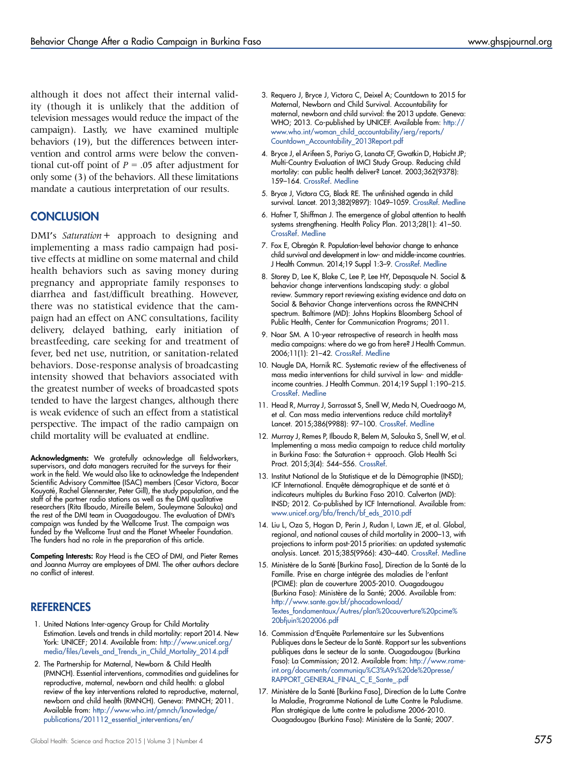although it does not affect their internal validity (though it is unlikely that the addition of television messages would reduce the impact of the campaign). Lastly, we have examined multiple behaviors (19), but the differences between intervention and control arms were below the conventional cut-off point of  $P = .05$  after adjustment for only some (3) of the behaviors. All these limitations mandate a cautious interpretation of our results.

## **CONCLUSION**

DMI's Saturation + approach to designing and implementing a mass radio campaign had positive effects at midline on some maternal and child health behaviors such as saving money during pregnancy and appropriate family responses to diarrhea and fast/difficult breathing. However, there was no statistical evidence that the campaign had an effect on ANC consultations, facility delivery, delayed bathing, early initiation of breastfeeding, care seeking for and treatment of fever, bed net use, nutrition, or sanitation-related behaviors. Dose-response analysis of broadcasting intensity showed that behaviors associated with the greatest number of weeks of broadcasted spots tended to have the largest changes, although there is weak evidence of such an effect from a statistical perspective. The impact of the radio campaign on child mortality will be evaluated at endline.

Acknowledgments: We gratefully acknowledge all fieldworkers, supervisors, and data managers recruited for the surveys for their work in the field. We would also like to acknowledge the Independent Scientific Advisory Committee (ISAC) members (Cesar Victora, Bocar Kouyaté, Rachel Glennerster, Peter Gill), the study population, and the staff of the partner radio stations as well as the DMI qualitative researchers (Rita Ilboudo, Mireille Belem, Souleymane Salouka) and the rest of the DMI team in Ouagadougou. The evaluation of DMI's campaign was funded by the Wellcome Trust. The campaign was funded by the Wellcome Trust and the Planet Wheeler Foundation. The funders had no role in the preparation of this article.

Competing Interests: Roy Head is the CEO of DMI, and Pieter Remes and Joanna Murray are employees of DMI. The other authors declare no conflict of interest.

## **REFERENCES**

- 1. United Nations Inter-agency Group for Child Mortality Estimation. Levels and trends in child mortality: report 2014. New York: UNICEF; 2014. Available from: [http://www.unicef.org/](http://www.unicef.org/media/files/Levels_and_Trends_in_Child_Mortality_2014.pdf) [media/files/Levels\\_and\\_Trends\\_in\\_Child\\_Mortality\\_2014.pdf](http://www.unicef.org/media/files/Levels_and_Trends_in_Child_Mortality_2014.pdf)
- 2. The Partnership for Maternal, Newborn & Child Health (PMNCH). Essential interventions, commodities and guidelines for reproductive, maternal, newborn and child health: a global review of the key interventions related to reproductive, maternal, newborn and child health (RMNCH). Geneva: PMNCH; 2011. Available from: [http://www.who.int/pmnch/knowledge/](http://www.who.int/pmnch/knowledge/publications/201112_essential_interventions/en/) [publications/201112\\_essential\\_interventions/en/](http://www.who.int/pmnch/knowledge/publications/201112_essential_interventions/en/)
- 3. Requero J, Bryce J, Victora C, Deixel A; Countdown to 2015 for Maternal, Newborn and Child Survival. Accountability for maternal, newborn and child survival: the 2013 update. Geneva: WHO; 2013. Co-published by UNICEF. Available from: [http://](http://www.who.int/woman_child_accountability/ierg/reports/Countdown_Accountability_2013Report.pdf) [www.who.int/woman\\_child\\_accountability/ierg/reports/](http://www.who.int/woman_child_accountability/ierg/reports/Countdown_Accountability_2013Report.pdf) [Countdown\\_Accountability\\_2013Report.pdf](http://www.who.int/woman_child_accountability/ierg/reports/Countdown_Accountability_2013Report.pdf)
- 4. Bryce J, el Arifeen S, Pariyo G, Lanata CF, Gwatkin D, Habicht JP; Multi-Country Evaluation of IMCI Study Group. Reducing child mortality: can public health deliver? Lancet. 2003;362(9378): 159–164. [CrossRef.](http://dx.doi.org/10.1016/S0140-6736(03)13870-6) [Medline](http://www.ncbi.nlm.nih.gov/pubmed/12867119)
- 5. Bryce J, Victora CG, Black RE. The unfinished agenda in child survival. Lancet. 2013;382(9897): 1049–1059. [CrossRef.](http://dx.doi.org/10.1016/S0140-6736(13)61753-5) [Medline](http://www.ncbi.nlm.nih.gov/pubmed/24054535)
- 6. Hafner T, Shiffman J. The emergence of global attention to health systems strengthening. Health Policy Plan. 2013;28(1): 41–50. [CrossRef](http://dx.doi.org/10.1093/heapol/czs023). [Medline](http://www.ncbi.nlm.nih.gov/pubmed/22407017)
- 7. Fox E, Obregón R. Population-level behavior change to enhance child survival and development in low- and middle-income countries. J Health Commun. 2014;19 Suppl 1:3–9. [CrossRef.](http://dx.doi.org/10.1080/10810730.2014.934937) [Medline](http://www.ncbi.nlm.nih.gov/pubmed/25207445)
- 8. Storey D, Lee K, Blake C, Lee P, Lee HY, Depasquale N. Social & behavior change interventions landscaping study: a global review. Summary report reviewing existing evidence and data on Social & Behavior Change interventions across the RMNCHN spectrum. Baltimore (MD): Johns Hopkins Bloomberg School of Public Health, Center for Communication Programs; 2011.
- 9. Noar SM. A 10-year retrospective of research in health mass media campaigns: where do we go from here? J Health Commun. 2006;11(1): 21–42. [CrossRef](http://dx.doi.org/10.1080/10810730500461059). [Medline](http://www.ncbi.nlm.nih.gov/pubmed/16546917)
- 10. Naugle DA, Hornik RC. Systematic review of the effectiveness of mass media interventions for child survival in low- and middleincome countries. J Health Commun. 2014;19 Suppl 1:190–215. [CrossRef.](http://dx.doi.org/10.1080/10810730.2014.918217) [Medline](http://www.ncbi.nlm.nih.gov/pubmed/25207453)
- 11. Head R, Murray J, Sarrassat S, Snell W, Meda N, Ouedraogo M, et al. Can mass media interventions reduce child mortality? Lancet. 2015;386(9988): 97–100. [CrossRef.](http://dx.doi.org/10.1016/S0140-6736(14)61649-4) [Medline](http://www.ncbi.nlm.nih.gov/pubmed/25684587)
- 12. Murray J, Remes P, Ilboudo R, Belem M, Salouka S, Snell W, et al. Implementing a mass media campaign to reduce child mortality in Burkina Faso: the Saturation + approach. Glob Health Sci Pract. 2015;3(4): 544–556. [CrossRef.](http://dx.doi.org/10.9745/GHSP-D-15-00049)
- 13. Institut National de la Statistique et de la Démographie (INSD); ICF International. Enquête démographique et de santé et à indicateurs multiples du Burkina Faso 2010. Calverton (MD): INSD; 2012. Co-published by ICF International. Available from: [www.unicef.org/bfa/french/bf\\_eds\\_2010.pdf](www.unicef.org/bfa/french/bf_eds_2010.pdf)
- 14. Liu L, Oza S, Hogan D, Perin J, Rudan I, Lawn JE, et al. Global, regional, and national causes of child mortality in 2000–13, with projections to inform post-2015 priorities: an updated systematic analysis. Lancet. 2015;385(9966): 430–440. [CrossRef.](http://dx.doi.org/10.1016/S0140-6736(14)61698-6) [Medline](http://www.ncbi.nlm.nih.gov/pubmed/25280870)
- 15. Ministère de la Santé [Burkina Faso], Direction de la Santé de la Famille. Prise en charge intégrée des maladies de l'enfant (PCIME): plan de couverture 2005-2010. Ouagadougou (Burkina Faso): Ministère de la Santé; 2006. Available from: [http://www.sante.gov.bf/phocadownload/](http://www.sante.gov.bf/phocadownload/Textes_fondamentaux/Autres/plan%20couverture%20pcime%20bfjuin%202006.pdf) [Textes\\_fondamentaux/Autres/plan%20couverture%20pcime%](http://www.sante.gov.bf/phocadownload/Textes_fondamentaux/Autres/plan%20couverture%20pcime%20bfjuin%202006.pdf) [20bfjuin%202006.pdf](http://www.sante.gov.bf/phocadownload/Textes_fondamentaux/Autres/plan%20couverture%20pcime%20bfjuin%202006.pdf)
- 16. Commission d'Enquête Parlementaire sur les Subventions Publiques dans le Secteur de la Santé. Rapport sur les subventions publiques dans le secteur de la sante. Ouagadougou (Burkina Faso): La Commission; 2012. Available from: [http://www.rame](http://www.rame-int.org/documents/communiqu%C3%A9s%20de%20presse/RAPPORT_GENERAL_FINAL_C_E_Sante_.pdf)[int.org/documents/communiqu%C3%A9s%20de%20presse/](http://www.rame-int.org/documents/communiqu%C3%A9s%20de%20presse/RAPPORT_GENERAL_FINAL_C_E_Sante_.pdf) [RAPPORT\\_GENERAL\\_FINAL\\_C\\_E\\_Sante\\_.pdf](http://www.rame-int.org/documents/communiqu%C3%A9s%20de%20presse/RAPPORT_GENERAL_FINAL_C_E_Sante_.pdf)
- 17. Ministère de la Santé [Burkina Faso], Direction de la Lutte Contre la Maladie, Programme National de Lutte Contre le Paludisme. Plan stratégique de lutte contre le paludisme 2006-2010. Ouagadougou (Burkina Faso): Ministère de la Santé; 2007.